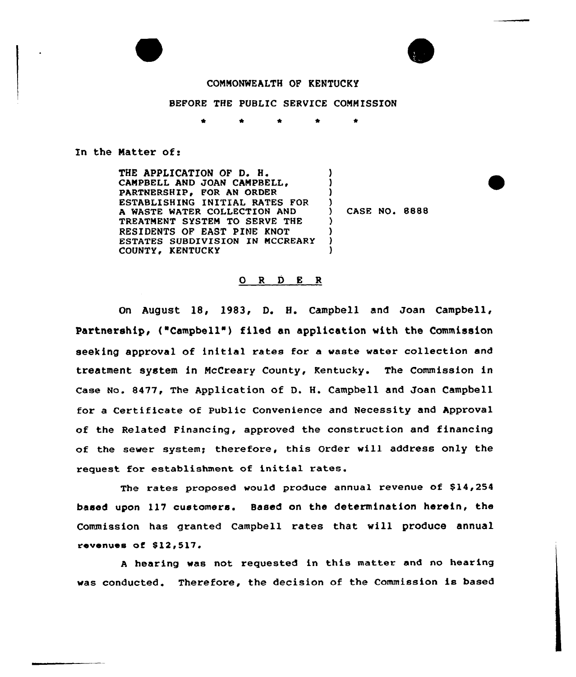



# COMMONWEALTH OP KENTOCKY

## BEFORE THE PUBLIC SERVICE COMMISSION

#### En the Matter of:

THE APPLICATION OF D. H. CAMPBELL AND JOAN PARTNERSHIP. FOR AN ORDER ESTABLISHING INITIAL RATES FOR A WASTE WATER COLLECTION AND TREATMENT SYSTEM TO SERVE THE RESIDENTS OF EAST PINE KNOT ESTATES SUBDIVISION IN MCCREARY COUNTY, KENTUCKY ) ) )  $\overline{)$  CASE NO. 8888 ) ) ) )

## 0 <sup>R</sup> <sup>D</sup> <sup>E</sup> <sup>R</sup>

On August 18, 1983, D. H. Campbell and Joan Campbell, Partnership, ("Campbell") filed an application with the Commission seeking approval of initial rates for a waste water collection and treatment system in McCreary County, Kentucky. The Commission in Case No. 8477, The Application of D. H. Campbell and Joan Campbell for a Certificate of Public Convenience and Necessity and Approval of the Related Financing, approved the construction and financing of the sewer system; therefore, this Order will address only the request for establishment of initial rates.

The rates proposed would produce annual revenue of \$14,254 based upon ll7 customers. Based on the determination herein, the Commission has granted Campbell rates that will produce annual revenues of  $$12,517.$ 

<sup>A</sup> hearing was not requested in this matter and no hearing was conducted. Therefore, the decision of the Commission is based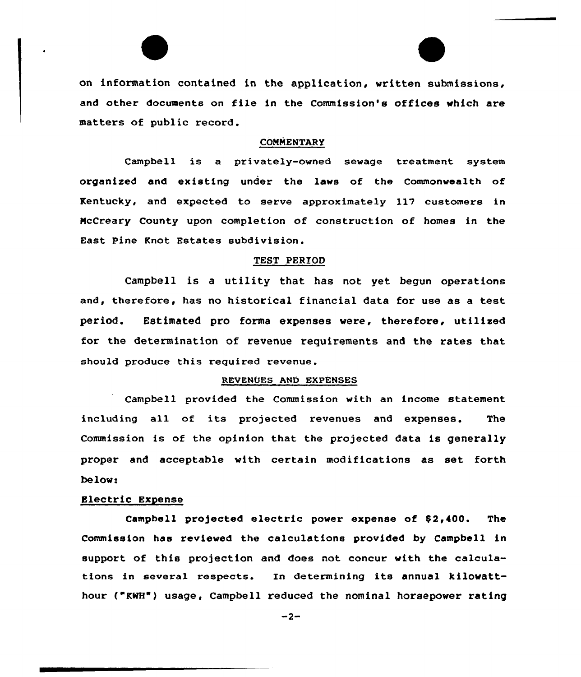on information contained in the application, written submissions, and other documents on file in the Commission's offices which are matters of public record.

## **COMMENTARY**

Campbell is a privately-owned sewage treatment system organized and existing under the laws of the Commonwealth of Kentucky, and expected to serve approximately ll7 customers in McCreary County upon completion of construction of homes in the East Pine Knot Estates subdivision.

## TEST PERIOD

Campbell is a utility that has not yet begun operations and, therefore, has no historical financial data for use as a test period. Estimated pro forma expenses were, therefore, utilized for the determination of revenue requirements and the rates that should produce this required revenue.

## REVENUES AND EXPENSES

Campbell provided the Commission with an income statement including all of its projected revenues and expenses. The Commission is of the opinion that the projected data is generally proper and acceptable with certain modifications as set forth below-

## Electric Expense

Campbell projected electric power expense of 52,400. The Commission has reviewed the calculations provided by Campbell in support of this projection and does not concur with the calculations in several respects. In determining its annual kilowatthour ("KWH") usage, Campbell reduced the nominal horsepower rating

 $-2-$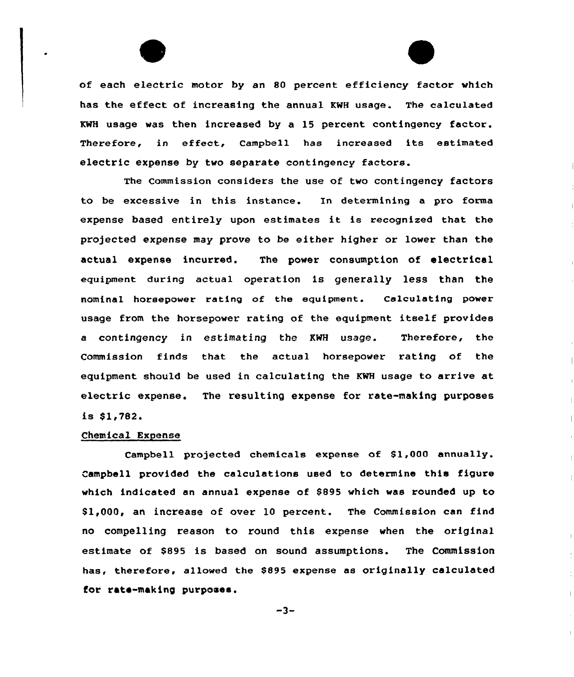of each electric motor by an 80 percent efficiency factor which has the effect of increasing the annual KNH usage. The calculated XWH usage was then increased by a 15 percent contingency factor. Therefore, in effect, Campbell has increased its estimated electric expense by two separate contingency factors.

The Commission considers the use of two contingency factors to be excessive in this instance. In determining a pro forma expense based entirely upon estimates it is recognized that the projected expense may prove to be either higher or lower than the actual expense incurred. The power consumption of electrical equipment during actual operation is generally less than the equipment. nominal horsepower rating of the equipment. Calculating power usage from the horsepower rating of the equipment itself provides a contingency in estimating the KWH usage. Therefore, the Commission finds that the actual horsepower rating of the equipment should be used in calculating the KNH usage to arrive at electric expense. The resulting expense for rate-making purposes is  $$1,782.$ 

## Chemical Expense

Campbell projected chemicals expense of \$1,000 annually. Campbell provided the calculations used to determine this figure which indicated an annual expense of \$895 which was rounded up to \$1,000, an increase of over 10 percent. The Commission can find no compelling reason to round this expense when the original estimate of \$895 is based on sound assumptions. The Commission has, therefore, allowed the \$895 expense as originally calculated for rats-making purposes.

 $-3-$ 

 $\mathcal{L}_{\mathcal{A}}$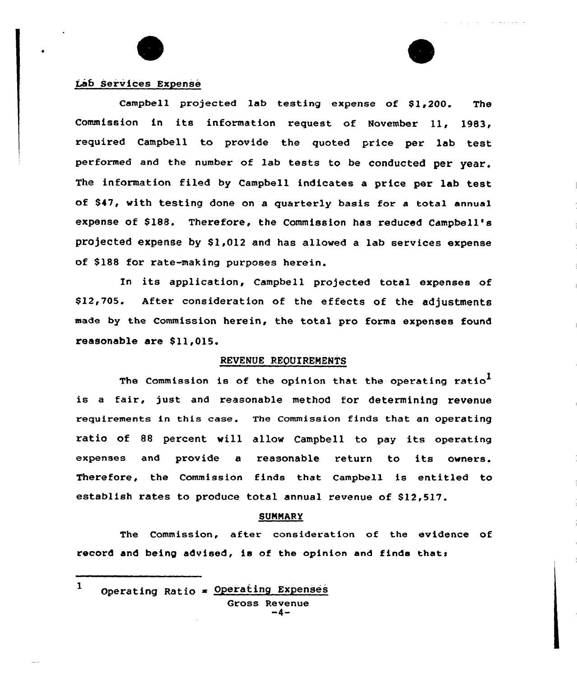

# Lab Services Expense

Campbell projected lab testing expense of \$1,200. The Commission in its information request of November 11, 1983, required Campbell to provide the quoted price per lab test performed and the number of lab tests to be conducted per year. The information filed by Campbell indicates a price per lab test of S47, with testing done on a quarterly basis for a total annual expense of \$188. Therefore, the Commission has reduced Campbell's projected expense by \$1,012 and has allowed a lab services expense of \$188 for rate-making purposes herein.

In its application, Campbell projected total expenses of \$12,705. After consideration of the effects of the adjustments made by the Commission herein, the total pro forma expenses found reasonable are Sll,015.

# REVENUE REQUIREMENTS

The Commission is of the opinion that the operating ratio<sup>1</sup> is a fair, just and reasonable method for determining revenue requirements in this case. The commission finds that an operating ratio of <sup>88</sup> percent will allow Campbe11 to pay its operating expenses end provide <sup>a</sup> reasonable return to its owners. Therefore, the Commission finds that campbell is entitled to establish rates to produce total annual revenue of \$12,517.

### **SUMMARY**

The Commission, after consideration of the evidence of record and being advised, is of the opinion and finds thats

 $\mathbf{1}$ Operating Ratio  $=$  Operating Expenses Gross Revenue<br>-4-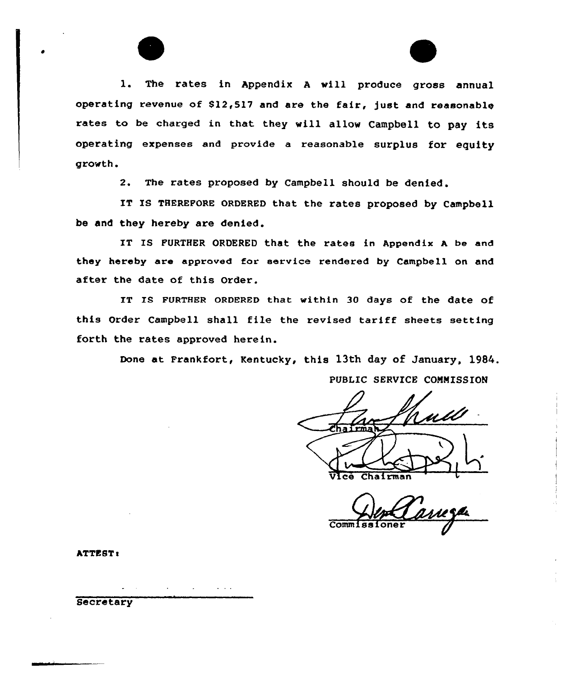

l. The rates in Appendix <sup>A</sup> will produce gross annual operating revenue of \$12,517 and are the fair, just and reasonable rates to be charged in that they will allow Campbell to pay its operating expenses and provide a reasonable surplus for equity growth.

2. The rates proposed by Campbell should be denied.

IT IS THEREFORE ORDERED that the rates proposed by Campbell be and they hereby are denied.

IT IS FURTHER ORDERED that the rates in Appendix <sup>A</sup> be and they hereby are approved for service rendered by Campbell on and after the date of this Order.

IT Is FURTHER oRDERED that within 30 days of the date of this Order Campbell shall file the revised tariff sheets setting forth the rates approved herein.

Done at Frankfort, Kentucky, this 13th day of January, 1984.

PUBLIC SERVICE COMMISSION

Vice Chairman

Comm 1

ATTEST!

 $\omega$  ,  $\omega$  ,  $\omega$ **Secretary**